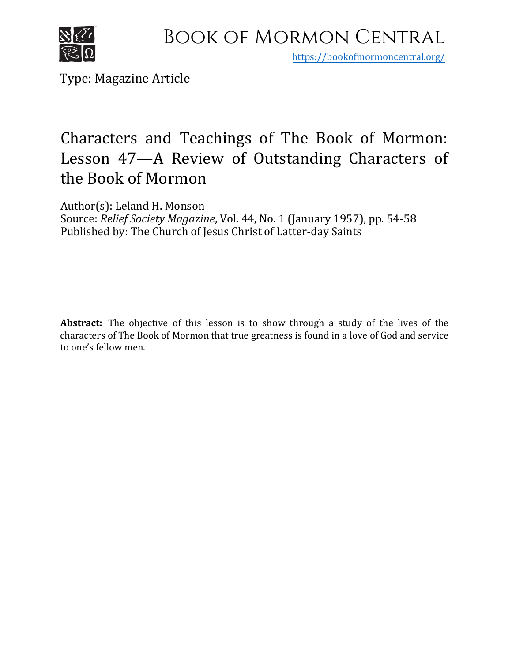

https[://bookofmormoncentral.org/](http://bookofmormoncentral.org/)

Type: Magazine Article

# Characters and Teachings of The Book of Mormon: Lesson 47—A Review of Outstanding Characters of the Book of Mormon

Author(s): Leland H. Monson Source: *Relief Society Magazine*, Vol. 44, No. 1 (January 1957), pp. 54-58 Published by: The Church of Jesus Christ of Latter-day Saints

**Abstract:** The objective of this lesson is to show through a study of the lives of the characters of The Book of Mormon that true greatness is found in a love of God and service to one's fellow men.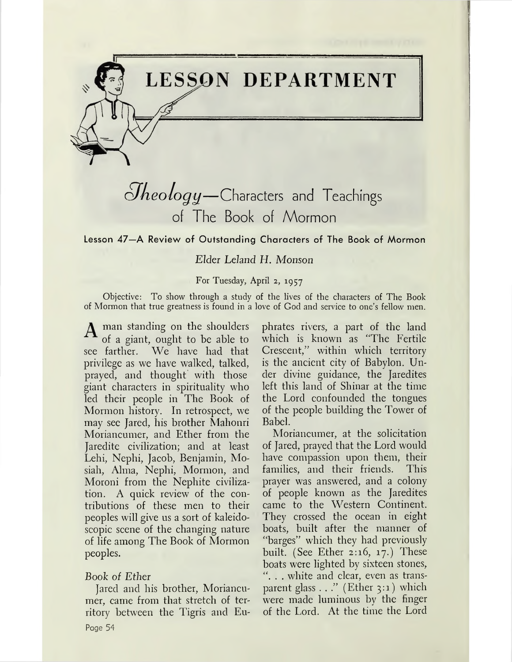

# *cJkeologij—*Characters and Teachings of The Book of Mormon

Lesson 47—A Review of Outstanding Characters of The Book of Mormon

# *Elder Leland H. Monson*

#### For Tuesday, April 2, 1957

Objective: To show through a study of the lives of the characters of The Book of Mormon that true greatness is found in a love of God and service to one'<sup>s</sup> fellow men.

A man standing on the shoulders of a giant, ought to be able to see farther. We have had that privilege as we have walked, talked, prayed, and thought with those giant characters in spirituality who led their people in The Book of Mormon history. In retrospect, we may see Jared, his brother Mahonri Moriancumer, and Ether from the Jaredite civilization; and at least Lehi, Nephi, Jacob, Benjamin, Mosiah, Alma, Nephi, Mormon, and Moroni from the Nephite civilization. A quick review of the contributions of these men to their peoples will give us a sort of kaleidoscopic scene of the changing nature of life among The Book of Mormon peoples.

## Book of *Ether*

Jared and his brother, Moriancumer, came from that stretch of territory between the Tigris and Eu-Page 54

phrates rivers, a part of the land which is known as "The Fertile Crescent," within which territory is the ancient city of Babylon. Under divine guidance, the Jaredites left this land of Shinar at the time the Lord confounded the tongues of the people building the Tower of Babel.

Moriancumer, at the solicitation of Jared, prayed that the Lord would have compassion upon them, their families, and their friends. This prayer was answered, and a colony of people known as the Jaredites came to the Western Continent. They crossed the ocean in eight boats, built after the manner of "barges" which they had previously built. (See Ether 2:16, 17.) These boats were lighted by sixteen stones, ". . . white and clear, even as transparent glass . . ." (Ether 3:1) which were made luminous by the finger of the Lord. At the time the Lord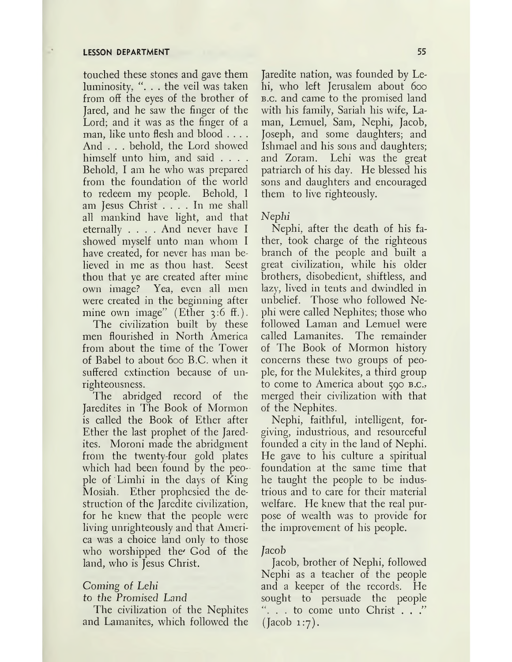touched these stones and gave them luminosity, ". . . the veil was taken from off the eyes of the brother of Jared, and he saw the finger of the Lord; and it was as the finger of a man, like unto flesh and blood .... And . . . behold, the Lord showed himself unto him, and said .... Behold, I am he who was prepared from the foundation of the world to redeem my people. Behold, I am Jesus Christ .... In me shall all mankind have light, and that eternally .... And never have <sup>I</sup> showed myself unto man whom I have created, for never has man believed in me as thou hast. Seest thou that ye are created after mine own image? Yea, even all men were created in the beginning after mine own image" (Ether 3:6 ff.).

The civilization built by these men flourished in North America from about the time of the Tower of Babel to about 600 B.C. when it suffered extinction because of unrighteousness.

The abridged record of the Jaredites in The Book of Mormon is called the Book of Ether after Ether the last prophet of the Jaredites. Moroni made the abridgment from the twenty-four gold plates which had been found by the people of 'Limhi in the days of King Mosiah. Ether prophesied the destruction of the Jaredite civilization, for he knew that the people were living unrighteously and that America was a choice land only to those who worshipped the' God of the land, who is Jesus Christ.

# *Coming of Lehi*

#### *to the Promised Land*

The civilization of the Nephites and Lamanites, which followed the

Jaredite nation, was founded by Lehi, who left Jerusalem about 600 b.c. and came to the promised land with his family, Sariah his wife, Laman, Lemuel, Sam, Nephi, Jacob, Joseph, and some daughters; and Ishmael and his sons and daughters; and Zoram. Lehi was the great patriarch of his day. He blessed his sons and daughters and encouraged them to live righteously.

# *Nephi*

Nephi, after the death of his father, took charge of the righteous branch of the people and built a great civilization, while his older brothers, disobedient, shiftless, and lazy, lived in tents and dwindled in unbelief. Those who followed Nephi were called Nephites; those who followed Laman and Lemuel were called Lamanites. The remainder of The Book of Mormon history concerns these two groups of people, for the Mulekites, a third group to come to America about 590 B.C., merged their civilization with that of the Nephites.

Nephi, faithful, intelligent, forgiving, industrious, and resourceful founded a city in the land of Nephi. He gave to his culture a spiritual foundation at the same time that he taught the people to be industrious and to care for their material welfare. He knew that the real purpose of wealth was to provide for the improvement of his people.

## Jacob

Jacob, brother of Nephi, followed Nephi as a teacher of the people and a keeper of the records. He sought to persuade the people  $\ldots$  to come unto Christ  $\ldots$ ." (Jacob 1:7).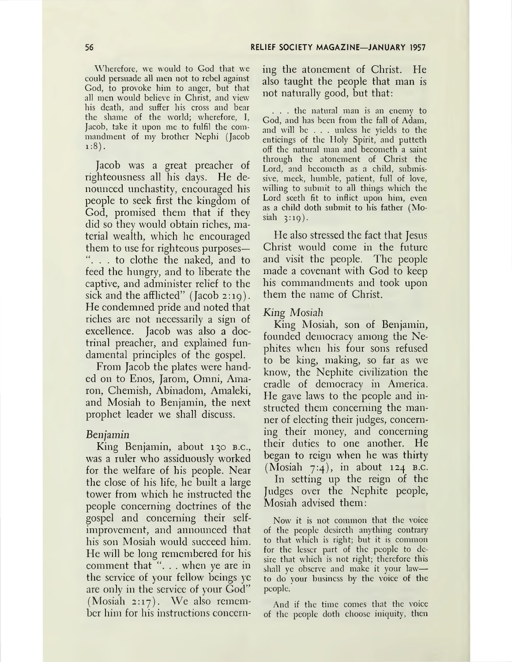Wherefore, we would to God that we could persuade all men not to rebel against God, to provoke him to anger, but that all men would believe in Christ, and view his death, and suffer his cross and bear the shame of the world; wherefore, I, Jacob, take it upon me to fulfil the commandment of my brother Nephi (Jacob  $1:8$ ).

Jacob was a great preacher of righteousness all his days. He denounced unchastity, encouraged his people to seek first the kingdom of God, promised them that if they did so they would obtain riches, material wealth, which he encouraged them to use for righteous purposes— ". . . to clothe the naked, and to feed the hungry, and to liberate the captive, and administer relief to the sick and the afflicted" (Jacob 2:19). He condemned pride and noted that riches are not necessarily a sign of excellence. Jacob was also a doctrinal preacher, and explained fundamental principles of the gospel.

From Jacob the plates were handed on to Enos, Jarom, Omni, Amaron, Chemish, Abinadom, Amaleki, and Mosiah to Benjamin, the next prophet leader we shall discuss.

#### *Benjamin*

King Benjamin, about 130 b.c., was a ruler who assiduously worked for the welfare of his people. Near the close of his life, he built a large tower from which he instructed the people concerning doctrines of the gospel and concerning their selfimprovement, and announced that his son Mosiah would succeed him. He will be long remembered for his comment that "... when ye are in the service of your fellow beings ye are only in the service of your God" (Mosiah 2:17). We also remember him for his instructions concerning the atonement of Christ. He also taught the people that man is not naturally good, but that:

. . . the natural man is an enemy to God, and has been from the fall of Adam, and will be . . . unless he yields to the enticings of the Holy Spirit, and putteth off the natural man and becometh a saint through the atonement of Christ the Lord, and becometh as a child, submissive, meek, humble, patient, full of love, willing to submit to all things which the Lord seeth fit to inflict upon him, even as a child doth submit to his father (Mosiah 3:19).

Fie also stressed the fact that Jesus Christ would come in the future and visit the people. The people made a covenant with God to keep his commandments and took upon them the name of Christ.

### *King Mosiah*

King Mosiah, son of Benjamin, founded democracy among the Nephites when his four sons refused to be king, making, so far as we know, the Nephite civilization the cradle of democracy in America. He gave laws to the people and instructed them concerning the manner of electing their judges, concerning their money, and concerning their duties to one another. He began to reign when he was thirty (Mosiah  $7:4$ ), in about 124 B.C. In setting up the reign of the Judges over the Nephite people, Mosiah advised them:

Now it is not common that the voice of the people dcsircth anything contrary to that which is right; but it is common for the lesser part of the people to desire that which is not right; therefore this shall ye observe and make it your law to do your business by the voice of the people.

And if the time comes that the voice of the people doth choose iniquity, then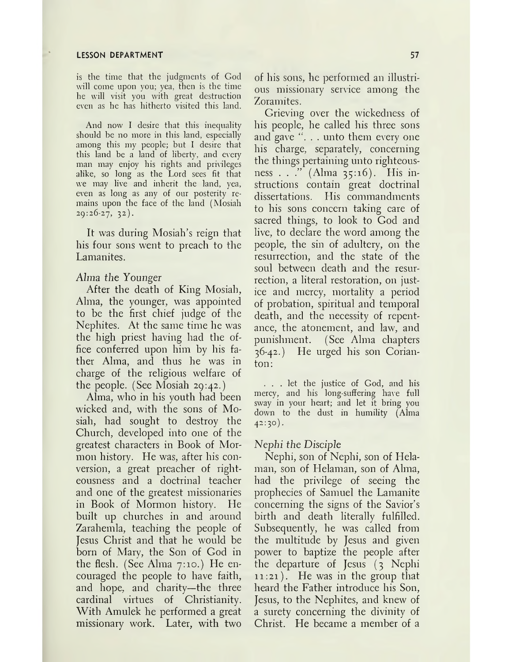is the time that the judgments of God will come upon you; yea, then is the time he will visit you with great destruction even as he has hitherto visited this land.

And now I desire that this inequality should be no more in this land, especially among this my people; but I desire that this land be a land of liberty, and every man may enjoy his rights and privileges alike, so long as the Lord sees fit that we may live and inherit the land, yea, even as long as any of our posterity remains upon the face of the land (Mosiah 29:26-27, 32).

It was during Mosiah'<sup>s</sup> reign that his four sons went to preach to the Lamanites.

#### *Alma, the Younger*

After the death of King Mosiah, Alma, the younger, was appointed to be the first chief judge of the Nephites. At the same time he was the high priest having had the office conferred upon him by his father Alma, and thus he was in charge of the religious welfare of the people. (See Mosiah 29:42.)

Alma, who in his youth had been wicked and, with the sons of Mosiah, had sought to destroy the Church, developed into one of the greatest characters in Book of Mormon history. He was, after his conversion, a great preacher of righteousness and a doctrinal teacher and one of the greatest missionaries in Book of Mormon history. He built up churches in and around Zarahemla, teaching the people of Jesus Christ and that he would be born of Mary, the Son of God in the flesh. (See Alma 7:10.) He encouraged the people to have faith, and hope, and charity—the three cardinal virtues of Christianity. With Amulek he performed a great missionary work. Later, with two

of his sons, he performed an illustrious missionary service among the Zoramites.

Grieving over the wickedness of his people, he called his three sons and gave ". . . unto them every one his charge, separately, concerning the things pertaining unto righteousness . . ." (Alma 35:16). His instructions contain great doctrinal dissertations. His commandments to his sons concern taking care of sacred things, to look to God and live, to declare the word among the people, the sin of adultery, on the resurrection, and the state of the soul between death and the resurrection, a literal restoration, on justice and mercy, mortality a period of probation, spiritual and temporal death, and the necessity of repentance, the atonement, and law, and punishment. (See Alma chapters 36-42.) He urged his son Corianton:

... let the justice of God, and his mercy, and his long-suffering have full sway in your heart; and let it bring you down to the dust in humility (Alma 42:30).

#### *Nephi the Disciple*

Nephi, son of Nephi, son of Helaman, son of Helaman, son of Alma, had the privilege of seeing the prophecies of Samuel the Lamanite concerning the signs of the Savior'<sup>s</sup> birth and death literally fulfilled. Subsequently, he was called from the multitude by Jesus and given power to baptize the people after the departure of Jesus (3 Nephi 11:21). He was in the group that heard the Father introduce his Son, Jesus, to the Nephites, and knew of a surety concerning the divinity of Christ. He became a member of a